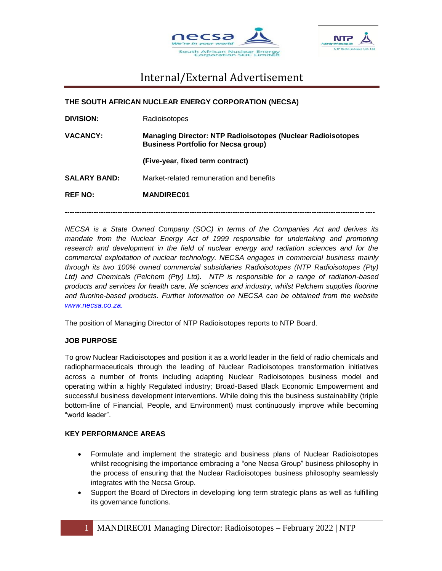



**THE SOUTH AFRICAN NUCLEAR ENERGY CORPORATION (NECSA) DIVISION:** Radioisotopes **VACANCY: Managing Director: NTP Radioisotopes (Nuclear Radioisotopes Business Portfolio for Necsa group) (Five-year, fixed term contract) SALARY BAND:** Market-related remuneration and benefits **REF NO: MANDIREC01**

*NECSA is a State Owned Company (SOC) in terms of the Companies Act and derives its mandate from the Nuclear Energy Act of 1999 responsible for undertaking and promoting* research and development in the field of nuclear energy and radiation sciences and for the *commercial exploitation of nuclear technology. NECSA engages in commercial business mainly through its two 100% owned commercial subsidiaries Radioisotopes (NTP Radioisotopes (Pty) Ltd) and Chemicals (Pelchem (Pty) Ltd). NTP is responsible for a range of radiation-based products and services for health care, life sciences and industry, whilst Pelchem supplies fluorine and fluorine-based products. Further information on NECSA can be obtained from the website [www.necsa.co.za.](http://www.necsa.co.za/)* 

**---------------------------------------------------------------------------------------------------------------------------------**

The position of Managing Director of NTP Radioisotopes reports to NTP Board.

### **JOB PURPOSE**

To grow Nuclear Radioisotopes and position it as a world leader in the field of radio chemicals and radiopharmaceuticals through the leading of Nuclear Radioisotopes transformation initiatives across a number of fronts including adapting Nuclear Radioisotopes business model and operating within a highly Regulated industry; Broad-Based Black Economic Empowerment and successful business development interventions. While doing this the business sustainability (triple bottom-line of Financial, People, and Environment) must continuously improve while becoming "world leader".

### **KEY PERFORMANCE AREAS**

- Formulate and implement the strategic and business plans of Nuclear Radioisotopes whilst recognising the importance embracing a "one Necsa Group" business philosophy in the process of ensuring that the Nuclear Radioisotopes business philosophy seamlessly integrates with the Necsa Group.
- Support the Board of Directors in developing long term strategic plans as well as fulfilling its governance functions.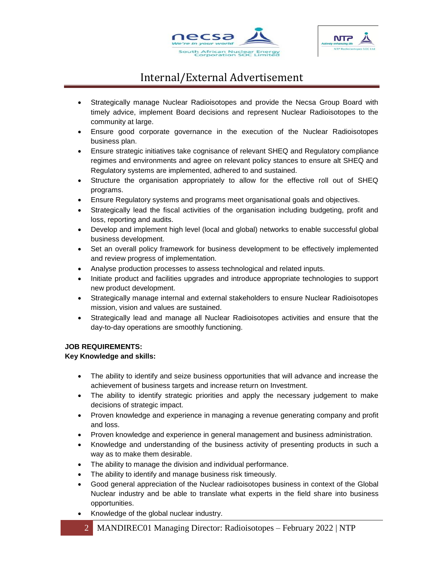



- Strategically manage Nuclear Radioisotopes and provide the Necsa Group Board with timely advice, implement Board decisions and represent Nuclear Radioisotopes to the community at large.
- Ensure good corporate governance in the execution of the Nuclear Radioisotopes business plan.
- Ensure strategic initiatives take cognisance of relevant SHEQ and Regulatory compliance regimes and environments and agree on relevant policy stances to ensure alt SHEQ and Regulatory systems are implemented, adhered to and sustained.
- Structure the organisation appropriately to allow for the effective roll out of SHEQ programs.
- Ensure Regulatory systems and programs meet organisational goals and objectives.
- Strategically lead the fiscal activities of the organisation including budgeting, profit and loss, reporting and audits.
- Develop and implement high level (local and global) networks to enable successful global business development.
- Set an overall policy framework for business development to be effectively implemented and review progress of implementation.
- Analyse production processes to assess technological and related inputs.
- Initiate product and facilities upgrades and introduce appropriate technologies to support new product development.
- Strategically manage internal and external stakeholders to ensure Nuclear Radioisotopes mission, vision and values are sustained.
- Strategically lead and manage all Nuclear Radioisotopes activities and ensure that the day-to-day operations are smoothly functioning.

### **JOB REQUIREMENTS:**

### **Key Knowledge and skills:**

- The ability to identify and seize business opportunities that will advance and increase the achievement of business targets and increase return on Investment.
- The ability to identify strategic priorities and apply the necessary judgement to make decisions of strategic impact.
- Proven knowledge and experience in managing a revenue generating company and profit and loss.
- Proven knowledge and experience in general management and business administration.
- Knowledge and understanding of the business activity of presenting products in such a way as to make them desirable.
- The ability to manage the division and individual performance.
- The ability to identify and manage business risk timeously.
- Good general appreciation of the Nuclear radioisotopes business in context of the Global Nuclear industry and be able to translate what experts in the field share into business opportunities.
- Knowledge of the global nuclear industry.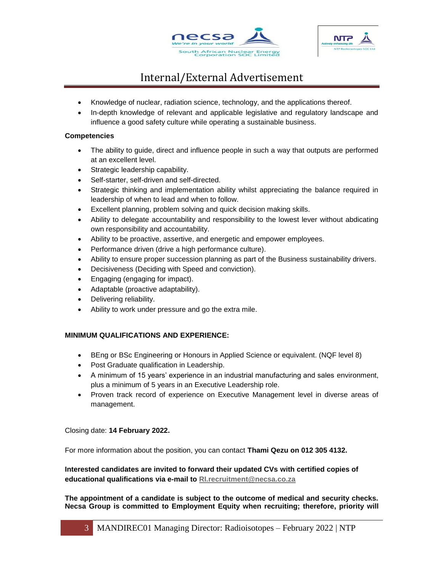



- Knowledge of nuclear, radiation science, technology, and the applications thereof.
- In-depth knowledge of relevant and applicable legislative and regulatory landscape and influence a good safety culture while operating a sustainable business.

#### **Competencies**

- The ability to guide, direct and influence people in such a way that outputs are performed at an excellent level.
- Strategic leadership capability.
- Self-starter, self-driven and self-directed.
- Strategic thinking and implementation ability whilst appreciating the balance required in leadership of when to lead and when to follow.
- Excellent planning, problem solving and quick decision making skills.
- Ability to delegate accountability and responsibility to the lowest lever without abdicating own responsibility and accountability.
- Ability to be proactive, assertive, and energetic and empower employees.
- Performance driven (drive a high performance culture).
- Ability to ensure proper succession planning as part of the Business sustainability drivers.
- Decisiveness (Deciding with Speed and conviction).
- Engaging (engaging for impact).
- Adaptable (proactive adaptability).
- Delivering reliability.
- Ability to work under pressure and go the extra mile.

### **MINIMUM QUALIFICATIONS AND EXPERIENCE:**

- BEng or BSc Engineering or Honours in Applied Science or equivalent. (NQF level 8)
- Post Graduate qualification in Leadership.
- A minimum of 15 years' experience in an industrial manufacturing and sales environment, plus a minimum of 5 years in an Executive Leadership role.
- Proven track record of experience on Executive Management level in diverse areas of management.

Closing date: **14 February 2022.**

For more information about the position, you can contact **Thami Qezu on 012 305 4132.**

**Interested candidates are invited to forward their updated CVs with certified copies of educational qualifications via e-mail to [RI.recruitment@necsa.co.za](mailto:RI.recruitment@necsa.co.za)**

**The appointment of a candidate is subject to the outcome of medical and security checks. Necsa Group is committed to Employment Equity when recruiting; therefore, priority will**